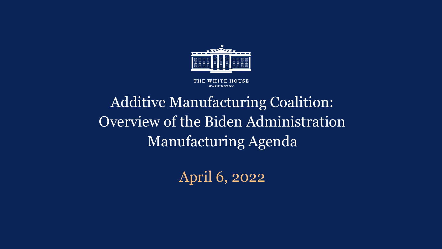

WHITE HOUSE THE WASHINGTON

# Additive Manufacturing Coalition: Overview of the Biden Administration Manufacturing Agenda

April 6, 2022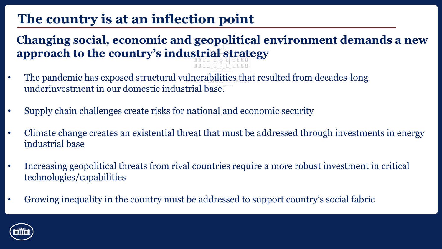### **The country is at an inflection point**

### **Changing social, economic and geopolitical environment demands a new approach to the country's industrial strategy**

- The pandemic has exposed structural vulnerabilities that resulted from decades-long underinvestment in our domestic industrial base.
- Supply chain challenges create risks for national and economic security
- Climate change creates an existential threat that must be addressed through investments in energy industrial base
- Increasing geopolitical threats from rival countries require a more robust investment in critical technologies/capabilities
- Growing inequality in the country must be addressed to support country's social fabric

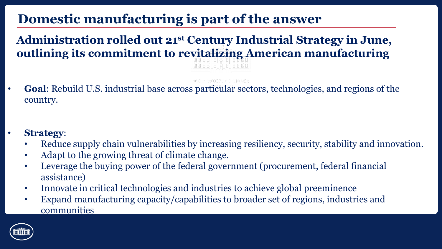### **Domestic manufacturing is part of the answer**

**Administration rolled out 21st Century Industrial Strategy in June, outlining its commitment to revitalizing American manufacturing**

- **Goal**: Rebuild U.S. industrial base across particular sectors, technologies, and regions of the country.
- **Strategy**:
	- Reduce supply chain vulnerabilities by increasing resiliency, security, stability and innovation.
	- Adapt to the growing threat of climate change.
	- Leverage the buying power of the federal government (procurement, federal financial assistance)
	- Innovate in critical technologies and industries to achieve global preeminence
	- Expand manufacturing capacity/capabilities to broader set of regions, industries and communities

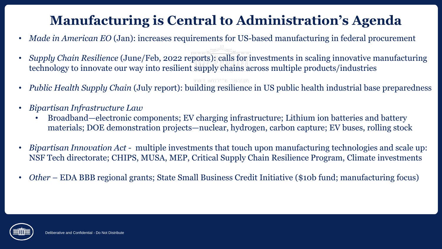### **Manufacturing is Central to Administration's Agenda**

- *Made in American EO* (Jan): increases requirements for US-based manufacturing in federal procurement
- *Supply Chain Resilience* (June/Feb, 2022 reports): calls for investments in scaling innovative manufacturing technology to innovate our way into resilient supply chains across multiple products/industries
- *Public Health Supply Chain* (July report): building resilience in US public health industrial base preparedness
- *Bipartisan Infrastructure Law*
	- Broadband—electronic components; EV charging infrastructure; Lithium ion batteries and battery materials; DOE demonstration projects—nuclear, hydrogen, carbon capture; EV buses, rolling stock
- *Bipartisan Innovation Act -* multiple investments that touch upon manufacturing technologies and scale up: NSF Tech directorate; CHIPS, MUSA, MEP, Critical Supply Chain Resilience Program, Climate investments
- *Other* EDA BBB regional grants; State Small Business Credit Initiative (\$10b fund; manufacturing focus)

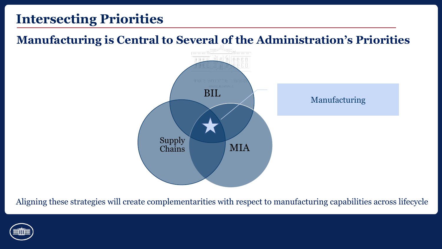### **Intersecting Priorities**

### **Manufacturing is Central to Several of the Administration's Priorities**



Aligning these strategies will create complementarities with respect to manufacturing capabilities across lifecycle

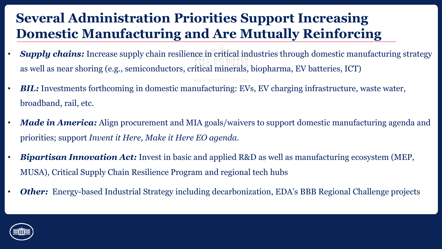### **Several Administration Priorities Support Increasing Domestic Manufacturing and Are Mutually Reinforcing**

- *Supply chains:* Increase supply chain resilience in critical industries through domestic manufacturing strategy as well as near shoring (e.g., semiconductors, critical minerals, biopharma, EV batteries, ICT)
- *BIL:* Investments forthcoming in domestic manufacturing: EVs, EV charging infrastructure, waste water, broadband, rail, etc.
- *Made in America:* Align procurement and MIA goals/waivers to support domestic manufacturing agenda and priorities; support *Invent it Here, Make it Here EO agenda.*
- *Bipartisan Innovation Act:* Invest in basic and applied R&D as well as manufacturing ecosystem (MEP, MUSA), Critical Supply Chain Resilience Program and regional tech hubs
- *Other:* Energy-based Industrial Strategy including decarbonization, EDA's BBB Regional Challenge projects

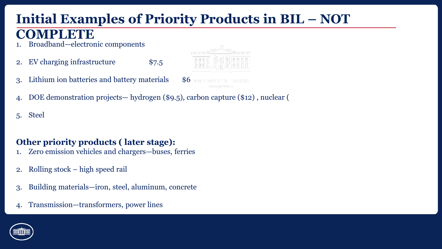## **Initial Examples of Priority Products in BIL – NOT**

### **COMPLETE**

- 1. Broadband—electronic components
- 2. EV charging infrastructure \$7.5
- 3. Lithium ion batteries and battery materials \$6
- 4. DOE demonstration projects— hydrogen (\$9.5), carbon capture (\$12) , nuclear (
- 5. Steel

#### **Other priority products ( later stage):**

- 1. Zero emission vehicles and chargers—buses, ferries
- 2. Rolling stock high speed rail
- 3. Building materials—iron, steel, aluminum, concrete
- 4. Transmission—transformers, power lines

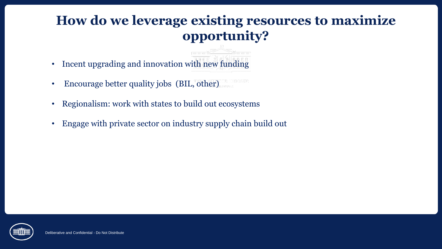### **How do we leverage existing resources to maximize opportunity?**

- Incent upgrading and innovation with new funding
- Encourage better quality jobs (BIL, other)
- Regionalism: work with states to build out ecosystems
- Engage with private sector on industry supply chain build out

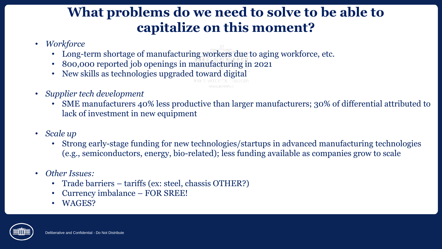### **What problems do we need to solve to be able to capitalize on this moment?**

- *Workforce* 
	- Long-term shortage of manufacturing workers due to aging workforce, etc.
	- 800,000 reported job openings in manufacturing in 2021
	- New skills as technologies upgraded toward digital
- *Supplier tech development*
	- SME manufacturers 40% less productive than larger manufacturers; 30% of differential attributed to lack of investment in new equipment
- *Scale up* 
	- Strong early-stage funding for new technologies/startups in advanced manufacturing technologies (e.g., semiconductors, energy, bio-related); less funding available as companies grow to scale
- *Other Issues:*
	- Trade barriers tariffs (ex: steel, chassis OTHER?)
	- Currency imbalance FOR SREE!
	- WAGES?

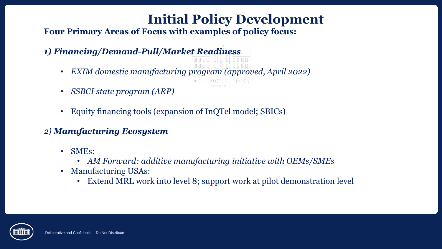## **Initial Policy Development**

#### **Four Primary Areas of Focus with examples of policy focus:**

#### *1) Financing/Demand-Pull/Market Readiness*

- *EXIM domestic manufacturing program (approved, April 2022)*
- *SSBCI state program (ARP)*
- Equity financing tools (expansion of InQTel model; SBICs)

### *2) Manufacturing Ecosystem*

- SMEs:
	- *AM Forward: additive manufacturing initiative with OEMs/SMEs*
- Manufacturing USAs:
	- Extend MRL work into level 8; support work at pilot demonstration level

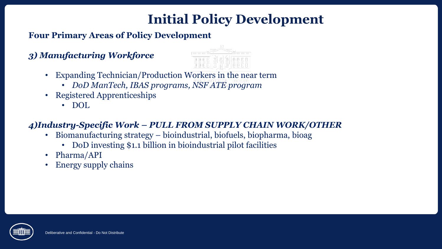### **Initial Policy Development**

**Four Primary Areas of Policy Development**

#### *3) Manufacturing Workforce*

- Expanding Technician/Production Workers in the near term
	- *DoD ManTech, IBAS programs, NSF ATE program*
- Registered Apprenticeships
	- DOL

#### *4)Industry-Specific Work – PULL FROM SUPPLY CHAIN WORK/OTHER*

- Biomanufacturing strategy bioindustrial, biofuels, biopharma, bioag
	- DoD investing \$1.1 billion in bioindustrial pilot facilities
- Pharma/API
- Energy supply chains

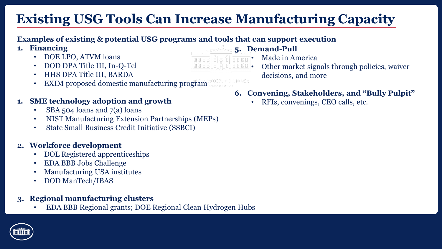## **Existing USG Tools Can Increase Manufacturing Capacity**

#### **Examples of existing & potential USG programs and tools that can support execution**

- **1. Financing** 
	- DOE LPO, ATVM loans
	- DOD DPA Title III, In-Q-Tel
	- HHS DPA Title III, BARDA
	- EXIM proposed domestic manufacturing program

#### **1. SME technology adoption and growth**

- SBA 504 loans and 7(a) loans
- NIST Manufacturing Extension Partnerships (MEPs)
- State Small Business Credit Initiative (SSBCI)

#### **2. Workforce development**

- DOL Registered apprenticeships
- EDA BBB Jobs Challenge
- Manufacturing USA institutes
- DOD ManTech/IBAS

#### **3. Regional manufacturing clusters**

• EDA BBB Regional grants; DOE Regional Clean Hydrogen Hubs

- **5. Demand-Pull**
	- Made in America
	- Other market signals through policies, waiver decisions, and more
- **6. Convening, Stakeholders, and "Bully Pulpit"** 
	- RFIs, convenings, CEO calls, etc.

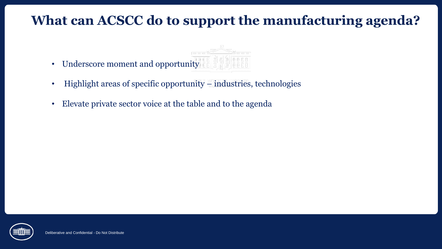### **What can ACSCC do to support the manufacturing agenda?**

- Underscore moment and opportunity
- Highlight areas of specific opportunity industries, technologies
- Elevate private sector voice at the table and to the agenda

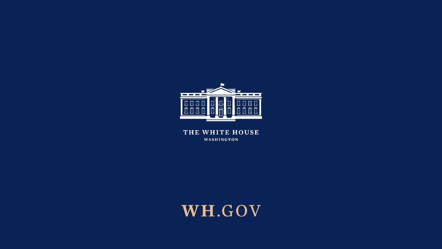

THE WHITE HOUSE WASHINGTON

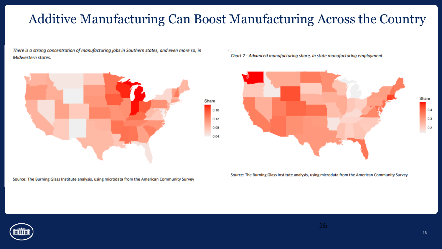### Additive Manufacturing Can Boost Manufacturing Across the Country

There is a strong concentration of manufacturing jobs in Southern states, and even more so, in Midwestern states.



Source: The Burning Glass Institute analysis, using microdata from the American Community Survey

Chart 7 - Advanced manufacturing share, in state manufacturing employment.



Source: The Burning Glass Institute analysis, using microdata from the American Community Survey

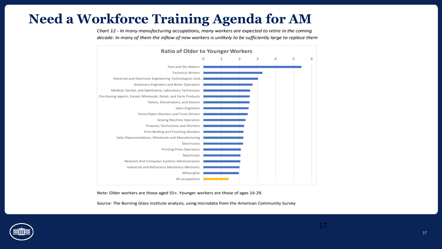### **Need a Workforce Training Agenda for AM**

Chart 12 - In many manufacturing occupations, many workers are expected to retire in the coming decade. In many of them the inflow of new workers is unlikely to be sufficiently large to replace them



Note: Older workers are those aged 55+. Younger workers are those of ages 16-29.

Source: The Burning Glass Institute analysis, using microdata from the American Community Survey

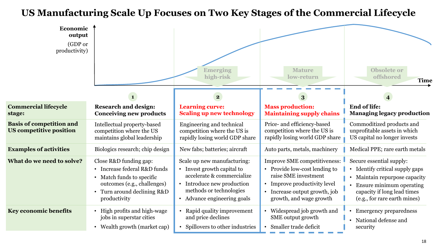#### **US Manufacturing Scale Up Focuses on Two Key Stages of the Commercial Lifecycle**

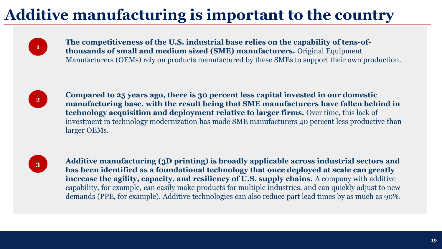# **Additive manufacturing is important to the country**



**The competitiveness of the U.S. industrial base relies on the capability of tens-ofthousands of small and medium sized (SME) manufacturers.** Original Equipment Manufacturers (OEMs) rely on products manufactured by these SMEs to support their own production.



**Compared to 25 years ago, there is 30 percent less capital invested in our domestic manufacturing base, with the result being that SME manufacturers have fallen behind in technology acquisition and deployment relative to larger firms.** Over time, this lack of investment in technology modernization has made SME manufacturers 40 percent less productive than larger OEMs.



**3 Additive manufacturing (3D printing) is broadly applicable across industrial sectors and <br>
<b>Additive manufacturing (3D printing) is broadly applicable across industrial sectors and has been identified as a foundational technology that once deployed at scale can greatly increase the agility, capacity, and resiliency of U.S. supply chains.** A company with additive capability, for example, can easily make products for multiple industries, and can quickly adjust to new demands (PPE, for example). Additive technologies can also reduce part lead times by as much as 90%.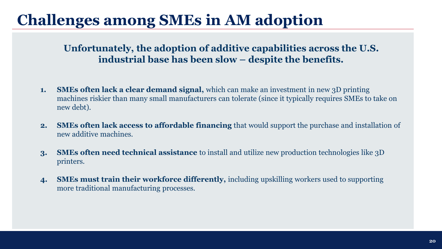# **Challenges among SMEs in AM adoption**

#### **Unfortunately, the adoption of additive capabilities across the U.S. industrial base has been slow – despite the benefits.**

- **1. SMEs often lack a clear demand signal,** which can make an investment in new 3D printing machines riskier than many small manufacturers can tolerate (since it typically requires SMEs to take on new debt).
- **2. SMEs often lack access to affordable financing** that would support the purchase and installation of new additive machines.
- **3. SMEs often need technical assistance** to install and utilize new production technologies like 3D printers.
- **4. SMEs must train their workforce differently,** including upskilling workers used to supporting more traditional manufacturing processes.